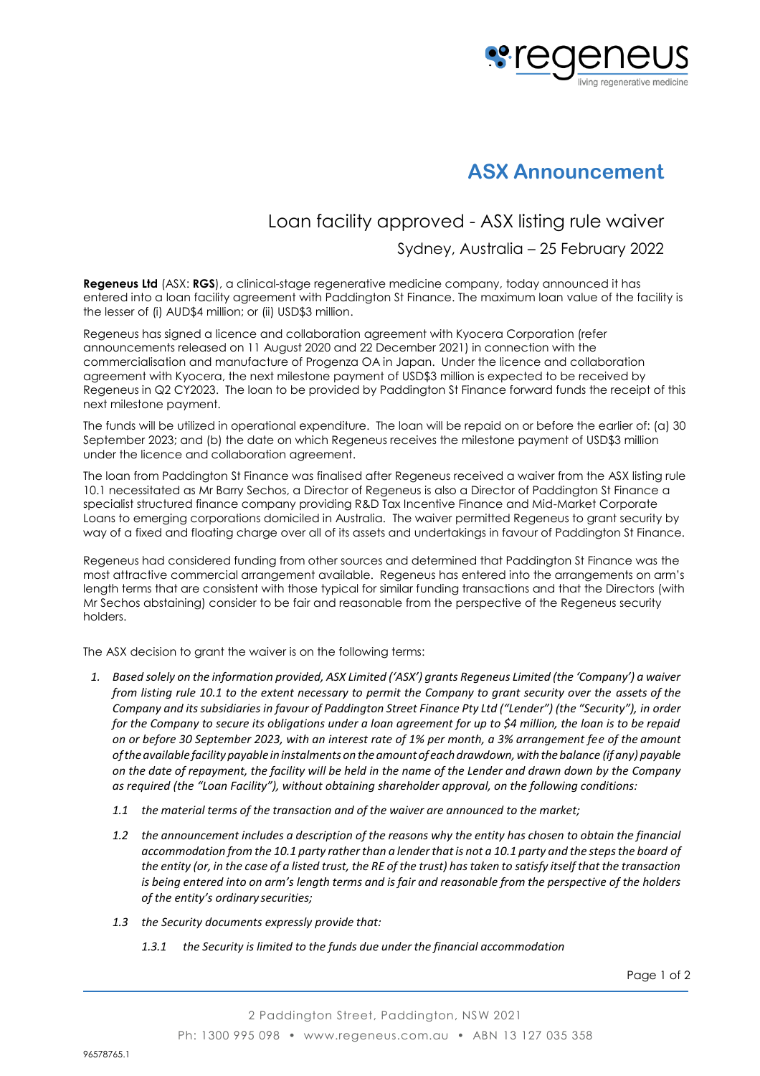

# **ASX Announcement**

## Loan facility approved - ASX listing rule waiver

### Sydney, Australia – 25 February 2022

**Regeneus Ltd** (ASX: **RGS**), a clinical-stage regenerative medicine company, today announced it has entered into a loan facility agreement with Paddington St Finance. The maximum loan value of the facility is the lesser of (i) AUD\$4 million; or (ii) USD\$3 million.

Regeneus has signed a licence and collaboration agreement with Kyocera Corporation (refer announcements released on 11 August 2020 and 22 December 2021) in connection with the commercialisation and manufacture of Progenza OA in Japan. Under the licence and collaboration agreement with Kyocera, the next milestone payment of USD\$3 million is expected to be received by Regeneus in Q2 CY2023. The loan to be provided by Paddington St Finance forward funds the receipt of this next milestone payment.

The funds will be utilized in operational expenditure. The loan will be repaid on or before the earlier of: (a) 30 September 2023; and (b) the date on which Regeneus receives the milestone payment of USD\$3 million under the licence and collaboration agreement.

The loan from Paddington St Finance was finalised after Regeneus received a waiver from the ASX listing rule 10.1 necessitated as Mr Barry Sechos, a Director of Regeneus is also a Director of Paddington St Finance a specialist structured finance company providing R&D Tax Incentive Finance and Mid-Market Corporate Loans to emerging corporations domiciled in Australia. The waiver permitted Regeneus to grant security by way of a fixed and floating charge over all of its assets and undertakings in favour of Paddington St Finance.

Regeneus had considered funding from other sources and determined that Paddington St Finance was the most attractive commercial arrangement available. Regeneus has entered into the arrangements on arm's length terms that are consistent with those typical for similar funding transactions and that the Directors (with Mr Sechos abstaining) consider to be fair and reasonable from the perspective of the Regeneus security holders.

The ASX decision to grant the waiver is on the following terms:

- *1. Based solely on the information provided, ASX Limited ('ASX') grants Regeneus Limited (the 'Company') a waiver from listing rule 10.1 to the extent necessary to permit the Company to grant security over the assets of the Company and itssubsidiaries in favour of Paddington Street Finance Pty Ltd ("Lender") (the "Security"), in order for the Company to secure its obligations under a loan agreement for up to \$4 million, the loan is to be repaid on or before 30 September 2023, with an interest rate of 1% per month, a 3% arrangement fee of the amount oftheavailable facilitypayable ininstalmentsontheamountofeachdrawdown,with thebalance (if any) payable* on the date of repayment, the facility will be held in the name of the Lender and drawn down by the Company *as required (the "Loan Facility"), without obtaining shareholder approval, on the following conditions:*
	- *1.1 the material terms of the transaction and of the waiver are announced to the market;*
	- 1.2 the announcement includes a description of the reasons why the entity has chosen to obtain the financial *accommodation from the 10.1 party ratherthan a lenderthatis not a 10.1 party and the stepsthe board of the entity (or, in the case of a listed trust, the RE of the trust) has taken to satisfy itself that the transaction is being entered into on arm's length terms and is fair and reasonable from the perspective of the holders of the entity's ordinary securities;*
	- *1.3 the Security documents expressly provide that:*
		- *1.3.1 the Security is limited to the funds due under the financial accommodation*

Page 1 of 2